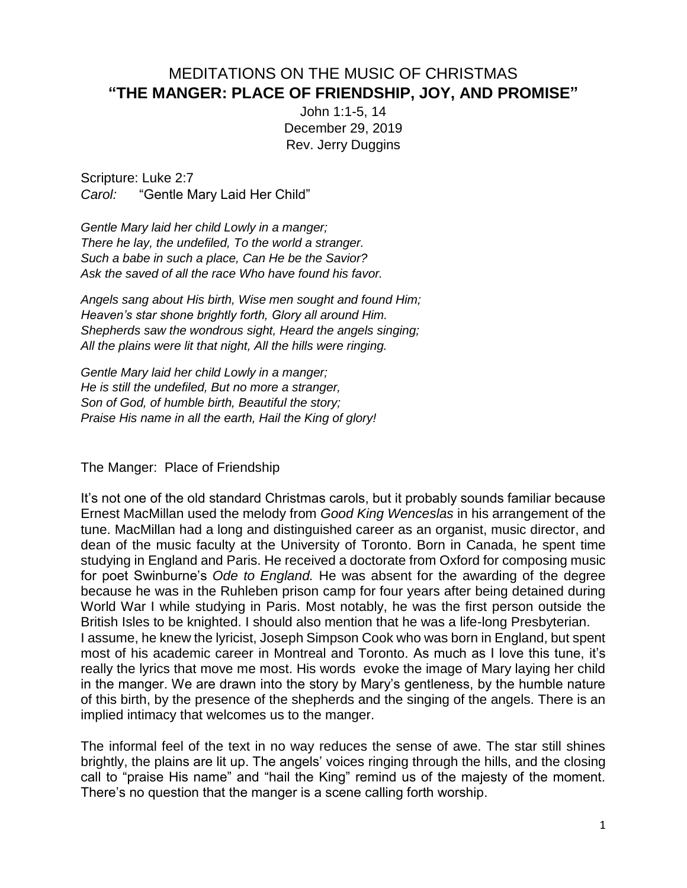## MEDITATIONS ON THE MUSIC OF CHRISTMAS **"THE MANGER: PLACE OF FRIENDSHIP, JOY, AND PROMISE"**

John 1:1-5, 14 December 29, 2019 Rev. Jerry Duggins

Scripture: Luke 2:7 *Carol:* "Gentle Mary Laid Her Child"

*Gentle Mary laid her child Lowly in a manger; There he lay, the undefiled, To the world a stranger. Such a babe in such a place, Can He be the Savior? Ask the saved of all the race Who have found his favor.*

*Angels sang about His birth, Wise men sought and found Him; Heaven's star shone brightly forth, Glory all around Him. Shepherds saw the wondrous sight, Heard the angels singing; All the plains were lit that night, All the hills were ringing.*

*Gentle Mary laid her child Lowly in a manger; He is still the undefiled, But no more a stranger, Son of God, of humble birth, Beautiful the story; Praise His name in all the earth, Hail the King of glory!*

The Manger: Place of Friendship

It's not one of the old standard Christmas carols, but it probably sounds familiar because Ernest MacMillan used the melody from *Good King Wenceslas* in his arrangement of the tune. MacMillan had a long and distinguished career as an organist, music director, and dean of the music faculty at the University of Toronto. Born in Canada, he spent time studying in England and Paris. He received a doctorate from Oxford for composing music for poet Swinburne's *Ode to England.* He was absent for the awarding of the degree because he was in the Ruhleben prison camp for four years after being detained during World War I while studying in Paris. Most notably, he was the first person outside the British Isles to be knighted. I should also mention that he was a life-long Presbyterian. I assume, he knew the lyricist, Joseph Simpson Cook who was born in England, but spent most of his academic career in Montreal and Toronto. As much as I love this tune, it's really the lyrics that move me most. His words evoke the image of Mary laying her child in the manger. We are drawn into the story by Mary's gentleness, by the humble nature of this birth, by the presence of the shepherds and the singing of the angels. There is an implied intimacy that welcomes us to the manger.

The informal feel of the text in no way reduces the sense of awe. The star still shines brightly, the plains are lit up. The angels' voices ringing through the hills, and the closing call to "praise His name" and "hail the King" remind us of the majesty of the moment. There's no question that the manger is a scene calling forth worship.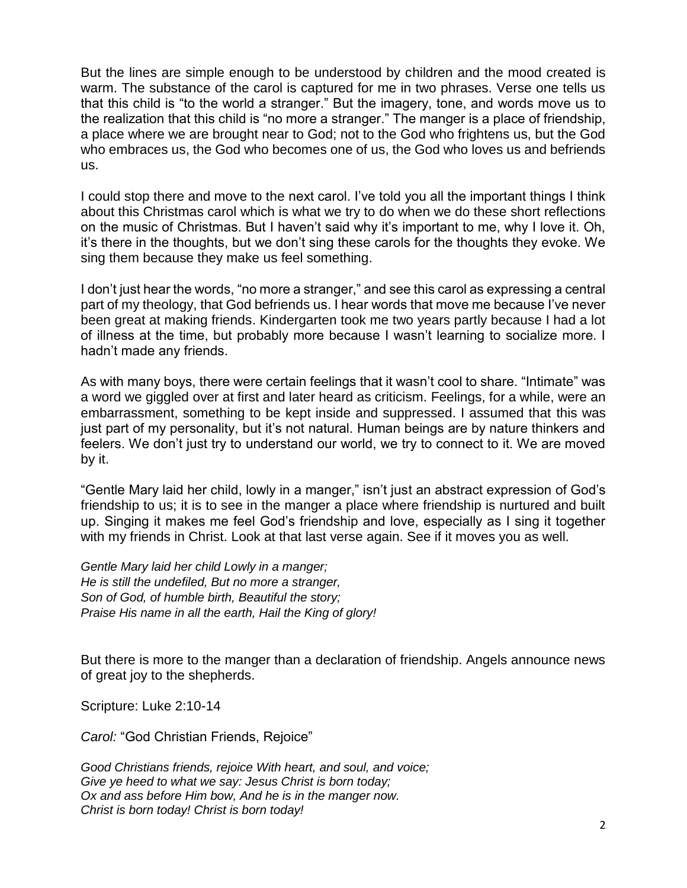But the lines are simple enough to be understood by children and the mood created is warm. The substance of the carol is captured for me in two phrases. Verse one tells us that this child is "to the world a stranger." But the imagery, tone, and words move us to the realization that this child is "no more a stranger." The manger is a place of friendship, a place where we are brought near to God; not to the God who frightens us, but the God who embraces us, the God who becomes one of us, the God who loves us and befriends us.

I could stop there and move to the next carol. I've told you all the important things I think about this Christmas carol which is what we try to do when we do these short reflections on the music of Christmas. But I haven't said why it's important to me, why I love it. Oh, it's there in the thoughts, but we don't sing these carols for the thoughts they evoke. We sing them because they make us feel something.

I don't just hear the words, "no more a stranger," and see this carol as expressing a central part of my theology, that God befriends us. I hear words that move me because I've never been great at making friends. Kindergarten took me two years partly because I had a lot of illness at the time, but probably more because I wasn't learning to socialize more. I hadn't made any friends.

As with many boys, there were certain feelings that it wasn't cool to share. "Intimate" was a word we giggled over at first and later heard as criticism. Feelings, for a while, were an embarrassment, something to be kept inside and suppressed. I assumed that this was just part of my personality, but it's not natural. Human beings are by nature thinkers and feelers. We don't just try to understand our world, we try to connect to it. We are moved by it.

"Gentle Mary laid her child, lowly in a manger," isn't just an abstract expression of God's friendship to us; it is to see in the manger a place where friendship is nurtured and built up. Singing it makes me feel God's friendship and love, especially as I sing it together with my friends in Christ. Look at that last verse again. See if it moves you as well.

*Gentle Mary laid her child Lowly in a manger; He is still the undefiled, But no more a stranger, Son of God, of humble birth, Beautiful the story; Praise His name in all the earth, Hail the King of glory!*

But there is more to the manger than a declaration of friendship. Angels announce news of great joy to the shepherds.

Scripture: Luke 2:10-14

*Carol:* "God Christian Friends, Rejoice"

*Good Christians friends, rejoice With heart, and soul, and voice; Give ye heed to what we say: Jesus Christ is born today; Ox and ass before Him bow, And he is in the manger now. Christ is born today! Christ is born today!*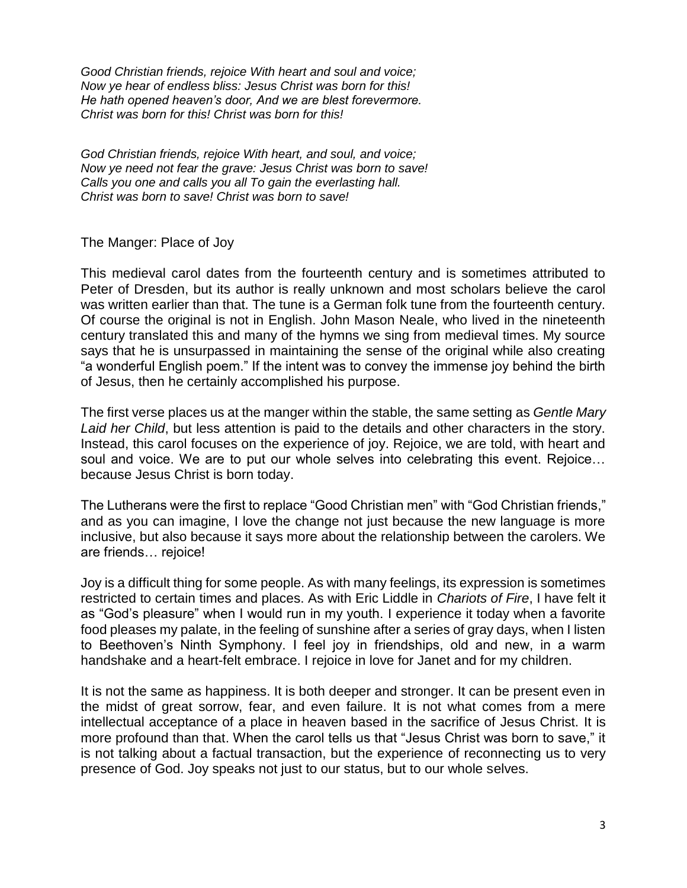*Good Christian friends, rejoice With heart and soul and voice; Now ye hear of endless bliss: Jesus Christ was born for this! He hath opened heaven's door, And we are blest forevermore. Christ was born for this! Christ was born for this!*

*God Christian friends, rejoice With heart, and soul, and voice; Now ye need not fear the grave: Jesus Christ was born to save! Calls you one and calls you all To gain the everlasting hall. Christ was born to save! Christ was born to save!*

The Manger: Place of Joy

This medieval carol dates from the fourteenth century and is sometimes attributed to Peter of Dresden, but its author is really unknown and most scholars believe the carol was written earlier than that. The tune is a German folk tune from the fourteenth century. Of course the original is not in English. John Mason Neale, who lived in the nineteenth century translated this and many of the hymns we sing from medieval times. My source says that he is unsurpassed in maintaining the sense of the original while also creating "a wonderful English poem." If the intent was to convey the immense joy behind the birth of Jesus, then he certainly accomplished his purpose.

The first verse places us at the manger within the stable, the same setting as *Gentle Mary Laid her Child*, but less attention is paid to the details and other characters in the story. Instead, this carol focuses on the experience of joy. Rejoice, we are told, with heart and soul and voice. We are to put our whole selves into celebrating this event. Rejoice… because Jesus Christ is born today.

The Lutherans were the first to replace "Good Christian men" with "God Christian friends," and as you can imagine, I love the change not just because the new language is more inclusive, but also because it says more about the relationship between the carolers. We are friends… rejoice!

Joy is a difficult thing for some people. As with many feelings, its expression is sometimes restricted to certain times and places. As with Eric Liddle in *Chariots of Fire*, I have felt it as "God's pleasure" when I would run in my youth. I experience it today when a favorite food pleases my palate, in the feeling of sunshine after a series of gray days, when I listen to Beethoven's Ninth Symphony. I feel joy in friendships, old and new, in a warm handshake and a heart-felt embrace. I rejoice in love for Janet and for my children.

It is not the same as happiness. It is both deeper and stronger. It can be present even in the midst of great sorrow, fear, and even failure. It is not what comes from a mere intellectual acceptance of a place in heaven based in the sacrifice of Jesus Christ. It is more profound than that. When the carol tells us that "Jesus Christ was born to save," it is not talking about a factual transaction, but the experience of reconnecting us to very presence of God. Joy speaks not just to our status, but to our whole selves.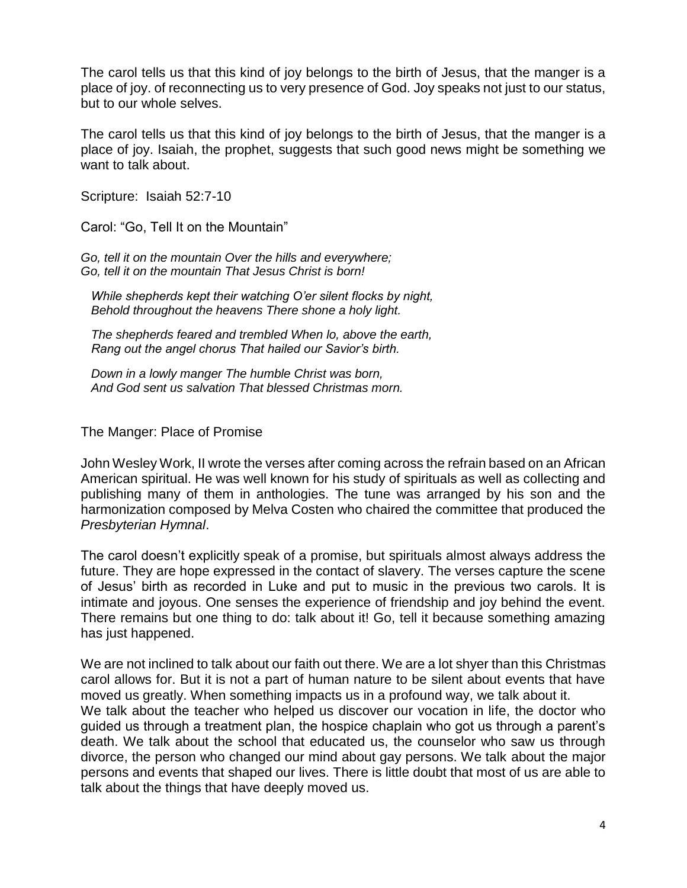The carol tells us that this kind of joy belongs to the birth of Jesus, that the manger is a place of joy. of reconnecting us to very presence of God. Joy speaks not just to our status, but to our whole selves.

The carol tells us that this kind of joy belongs to the birth of Jesus, that the manger is a place of joy. Isaiah, the prophet, suggests that such good news might be something we want to talk about.

Scripture: Isaiah 52:7-10

Carol: "Go, Tell It on the Mountain"

*Go, tell it on the mountain Over the hills and everywhere; Go, tell it on the mountain That Jesus Christ is born!*

 *While shepherds kept their watching O'er silent flocks by night, Behold throughout the heavens There shone a holy light.*

 *The shepherds feared and trembled When lo, above the earth, Rang out the angel chorus That hailed our Savior's birth.*

 *Down in a lowly manger The humble Christ was born, And God sent us salvation That blessed Christmas morn.*

The Manger: Place of Promise

John Wesley Work, II wrote the verses after coming across the refrain based on an African American spiritual. He was well known for his study of spirituals as well as collecting and publishing many of them in anthologies. The tune was arranged by his son and the harmonization composed by Melva Costen who chaired the committee that produced the *Presbyterian Hymnal*.

The carol doesn't explicitly speak of a promise, but spirituals almost always address the future. They are hope expressed in the contact of slavery. The verses capture the scene of Jesus' birth as recorded in Luke and put to music in the previous two carols. It is intimate and joyous. One senses the experience of friendship and joy behind the event. There remains but one thing to do: talk about it! Go, tell it because something amazing has just happened.

We are not inclined to talk about our faith out there. We are a lot shyer than this Christmas carol allows for. But it is not a part of human nature to be silent about events that have moved us greatly. When something impacts us in a profound way, we talk about it. We talk about the teacher who helped us discover our vocation in life, the doctor who guided us through a treatment plan, the hospice chaplain who got us through a parent's death. We talk about the school that educated us, the counselor who saw us through divorce, the person who changed our mind about gay persons. We talk about the major persons and events that shaped our lives. There is little doubt that most of us are able to talk about the things that have deeply moved us.